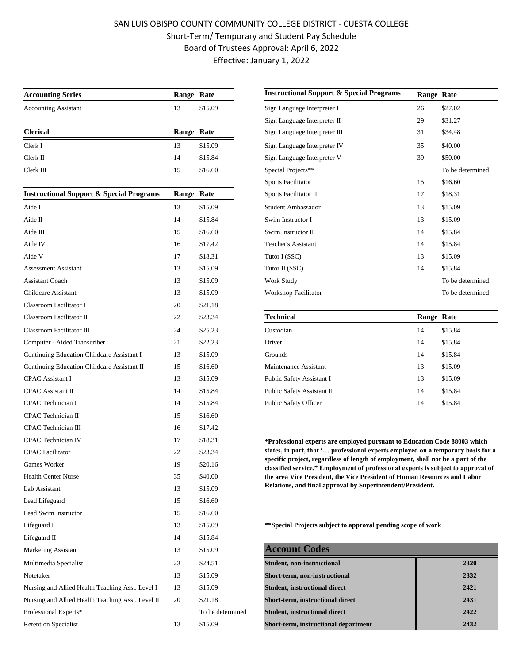## SAN LUIS OBISPO COUNTY COMMUNITY COLLEGE DISTRICT - CUESTA COLLEGE Short-Term/ Temporary and Student Pay Schedule Board of Trustees Approval: April 6, 2022 Effective: January 1, 2022

| <b>Accounting Series</b>                            | Range Rate |                  | <b>Instructional Support &amp; Special Programs</b>                                                                                                                                                                                                                                                                                                                                                                                                                                             | Range Rate |         |
|-----------------------------------------------------|------------|------------------|-------------------------------------------------------------------------------------------------------------------------------------------------------------------------------------------------------------------------------------------------------------------------------------------------------------------------------------------------------------------------------------------------------------------------------------------------------------------------------------------------|------------|---------|
| <b>Accounting Assistant</b>                         | 13         | \$15.09          | Sign Language Interpreter I                                                                                                                                                                                                                                                                                                                                                                                                                                                                     | 26         | \$27.02 |
|                                                     |            |                  | Sign Language Interpreter II                                                                                                                                                                                                                                                                                                                                                                                                                                                                    | 29         | \$31.27 |
| <b>Clerical</b>                                     | Range Rate |                  | Sign Language Interpreter III                                                                                                                                                                                                                                                                                                                                                                                                                                                                   | 31         | \$34.48 |
| Clerk I                                             | 13         | \$15.09          | Sign Language Interpreter IV                                                                                                                                                                                                                                                                                                                                                                                                                                                                    | 35         | \$40.00 |
| Clerk II                                            | 14         | \$15.84          | Sign Language Interpreter V                                                                                                                                                                                                                                                                                                                                                                                                                                                                     | 39         | \$50.00 |
| Clerk III                                           | 15         | \$16.60          | Special Projects**                                                                                                                                                                                                                                                                                                                                                                                                                                                                              |            | To be o |
|                                                     |            |                  | Sports Facilitator I                                                                                                                                                                                                                                                                                                                                                                                                                                                                            | 15         | \$16.60 |
| <b>Instructional Support &amp; Special Programs</b> | Range Rate |                  | Sports Facilitator II                                                                                                                                                                                                                                                                                                                                                                                                                                                                           | 17         | \$18.31 |
| Aide I                                              | 13         | \$15.09          | Student Ambassador                                                                                                                                                                                                                                                                                                                                                                                                                                                                              | 13         | \$15.09 |
| Aide II                                             | 14         | \$15.84          | Swim Instructor I                                                                                                                                                                                                                                                                                                                                                                                                                                                                               | 13         | \$15.09 |
| Aide III                                            | 15         | \$16.60          | Swim Instructor II                                                                                                                                                                                                                                                                                                                                                                                                                                                                              | 14         | \$15.84 |
| Aide IV                                             | 16         | \$17.42          | <b>Teacher's Assistant</b>                                                                                                                                                                                                                                                                                                                                                                                                                                                                      | 14         | \$15.84 |
| Aide V                                              | 17         | \$18.31          | Tutor I (SSC)                                                                                                                                                                                                                                                                                                                                                                                                                                                                                   | 13         | \$15.09 |
| <b>Assessment Assistant</b>                         | 13         | \$15.09          | Tutor II (SSC)                                                                                                                                                                                                                                                                                                                                                                                                                                                                                  | 14         | \$15.84 |
| <b>Assistant Coach</b>                              | 13         | \$15.09          | Work Study                                                                                                                                                                                                                                                                                                                                                                                                                                                                                      |            | To be o |
| Childcare Assistant                                 | 13         | \$15.09          | <b>Workshop Facilitator</b>                                                                                                                                                                                                                                                                                                                                                                                                                                                                     |            | To be o |
| Classroom Facilitator I                             | 20         | \$21.18          |                                                                                                                                                                                                                                                                                                                                                                                                                                                                                                 |            |         |
| Classroom Facilitator II                            | 22         | \$23.34          | <b>Technical</b>                                                                                                                                                                                                                                                                                                                                                                                                                                                                                | Range Rate |         |
| Classroom Facilitator III                           | 24         | \$25.23          | Custodian                                                                                                                                                                                                                                                                                                                                                                                                                                                                                       | 14         | \$15.84 |
| Computer - Aided Transcriber                        | 21         | \$22.23          | Driver                                                                                                                                                                                                                                                                                                                                                                                                                                                                                          | 14         | \$15.84 |
| Continuing Education Childcare Assistant I          | 13         | \$15.09          | Grounds                                                                                                                                                                                                                                                                                                                                                                                                                                                                                         | 14         | \$15.84 |
| Continuing Education Childcare Assistant II         | 15         | \$16.60          | Maintenance Assistant                                                                                                                                                                                                                                                                                                                                                                                                                                                                           | 13         | \$15.09 |
| <b>CPAC</b> Assistant I                             | 13         | \$15.09          | Public Safety Assistant I                                                                                                                                                                                                                                                                                                                                                                                                                                                                       | 13         | \$15.09 |
| <b>CPAC</b> Assistant II                            | 14         | \$15.84          | Public Safety Assistant II                                                                                                                                                                                                                                                                                                                                                                                                                                                                      | 14         | \$15.84 |
| CPAC Technician I                                   | 14         | \$15.84          | Public Safety Officer                                                                                                                                                                                                                                                                                                                                                                                                                                                                           | 14         | \$15.84 |
| CPAC Technician II                                  | 15         | \$16.60          |                                                                                                                                                                                                                                                                                                                                                                                                                                                                                                 |            |         |
| CPAC Technician III                                 | 16         | \$17.42          |                                                                                                                                                                                                                                                                                                                                                                                                                                                                                                 |            |         |
| <b>CPAC</b> Technician IV                           | 17         | \$18.31          | *Professional experts are employed pursuant to Education Code 880<br>states, in part, that ' professional experts employed on a temporar<br>specific project, regardless of length of employment, shall not be a p<br>classified service." Employment of professional experts is subject to<br>the area Vice President, the Vice President of Human Resources and<br>Relations, and final approval by Superintendent/President.<br>**Special Projects subject to approval pending scope of work |            |         |
| <b>CPAC</b> Facilitator                             | 22         | \$23.34          |                                                                                                                                                                                                                                                                                                                                                                                                                                                                                                 |            |         |
| Games Worker                                        | 19         | \$20.16          |                                                                                                                                                                                                                                                                                                                                                                                                                                                                                                 |            |         |
| <b>Health Center Nurse</b>                          | 35         | \$40.00          |                                                                                                                                                                                                                                                                                                                                                                                                                                                                                                 |            |         |
| Lab Assistant                                       | 13         | \$15.09          |                                                                                                                                                                                                                                                                                                                                                                                                                                                                                                 |            |         |
| Lead Lifeguard                                      | 15         | \$16.60          |                                                                                                                                                                                                                                                                                                                                                                                                                                                                                                 |            |         |
| Lead Swim Instructor                                | 15         | \$16.60          |                                                                                                                                                                                                                                                                                                                                                                                                                                                                                                 |            |         |
| Lifeguard I                                         | 13         | \$15.09          |                                                                                                                                                                                                                                                                                                                                                                                                                                                                                                 |            |         |
| Lifeguard II                                        | 14         | \$15.84          |                                                                                                                                                                                                                                                                                                                                                                                                                                                                                                 |            |         |
| Marketing Assistant                                 | 13         | \$15.09          | <b>Account Codes</b>                                                                                                                                                                                                                                                                                                                                                                                                                                                                            |            |         |
| Multimedia Specialist                               | 23         | \$24.51          | Student, non-instructional                                                                                                                                                                                                                                                                                                                                                                                                                                                                      |            |         |
| Notetaker                                           | 13         | \$15.09          | Short-term, non-instructional                                                                                                                                                                                                                                                                                                                                                                                                                                                                   |            |         |
| Nursing and Allied Health Teaching Asst. Level I    | 13         | \$15.09          | <b>Student, instructional direct</b>                                                                                                                                                                                                                                                                                                                                                                                                                                                            |            |         |
| Nursing and Allied Health Teaching Asst. Level II   | 20         | \$21.18          | Short-term, instructional direct                                                                                                                                                                                                                                                                                                                                                                                                                                                                |            |         |
| Professional Experts*                               |            | To be determined | <b>Student, instructional direct</b>                                                                                                                                                                                                                                                                                                                                                                                                                                                            |            |         |
| <b>Retention Specialist</b>                         | 13         | \$15.09          | Short-term, instructional department                                                                                                                                                                                                                                                                                                                                                                                                                                                            |            |         |

| <b>Accounting Series</b>                            | Range Rate |         | <b>Instructional Support &amp; Special Programs</b> | Range Rate |                  |
|-----------------------------------------------------|------------|---------|-----------------------------------------------------|------------|------------------|
| <b>Accounting Assistant</b>                         | 13         | \$15.09 | Sign Language Interpreter I                         | 26         | \$27.02          |
|                                                     |            |         | Sign Language Interpreter II                        | 29         | \$31.27          |
| <b>Clerical</b>                                     | Range Rate |         | Sign Language Interpreter III                       | 31         | \$34.48          |
| Clerk I                                             | 13         | \$15.09 | Sign Language Interpreter IV                        | 35         | \$40.00          |
| $Clerk \, \mathrm{II}$                              | 14         | \$15.84 | Sign Language Interpreter V                         | 39         | \$50.00          |
| Clerk III                                           | 15         | \$16.60 | Special Projects**                                  |            | To be determined |
|                                                     |            |         | Sports Facilitator I                                | 15         | \$16.60          |
| <b>Instructional Support &amp; Special Programs</b> | Range Rate |         | Sports Facilitator II                               | 17         | \$18.31          |
| Aide I                                              | 13         | \$15.09 | Student Ambassador                                  | 13         | \$15.09          |
| Aide II                                             | 14         | \$15.84 | Swim Instructor I                                   | 13         | \$15.09          |
| Aide III                                            | 15         | \$16.60 | Swim Instructor II                                  | 14         | \$15.84          |
| Aide IV                                             | 16         | \$17.42 | <b>Teacher's Assistant</b>                          | 14         | \$15.84          |
| Aide V                                              | 17         | \$18.31 | Tutor I (SSC)                                       | 13         | \$15.09          |
| <b>Assessment Assistant</b>                         | 13         | \$15.09 | Tutor II (SSC)                                      | 14         | \$15.84          |
| <b>Assistant Coach</b>                              | 13         | \$15.09 | Work Study                                          |            | To be determined |
| Childcare Assistant                                 | 13         | \$15.09 | Workshop Facilitator                                |            | To be determined |
|                                                     |            |         |                                                     |            |                  |

| <b>Technical</b>           | <b>Range Rate</b> |         |
|----------------------------|-------------------|---------|
| Custodian                  | 14                | \$15.84 |
| Driver                     | 14                | \$15.84 |
| <b>Grounds</b>             | 14                | \$15.84 |
| Maintenance Assistant      | 13                | \$15.09 |
| Public Safety Assistant I  | 13                | \$15.09 |
| Public Safety Assistant II | 14                | \$15.84 |
| Public Safety Officer      | 14                | \$15.84 |

**\*Professional experts are employed pursuant to Education Code 88003 which states, in part, that '… professional experts employed on a temporary basis for a specific project, regardless of length of employment, shall not be a part of the classified service." Employment of professional experts is subject to approval of the area Vice President, the Vice President of Human Resources and Labor Relations, and final approval by Superintendent/President.**

| Marketing Assistant                               | 13 | \$15.09          | <b>Account Codes</b>                    |      |
|---------------------------------------------------|----|------------------|-----------------------------------------|------|
| Multimedia Specialist                             | 23 | \$24.51          | <b>Student, non-instructional</b>       | 2320 |
| Notetaker                                         | 13 | \$15.09          | Short-term, non-instructional           | 2332 |
| Nursing and Allied Health Teaching Asst. Level I  | 13 | \$15.09          | <b>Student, instructional direct</b>    | 2421 |
| Nursing and Allied Health Teaching Asst. Level II | 20 | \$21.18          | <b>Short-term, instructional direct</b> | 2431 |
| Professional Experts*                             |    | To be determined | <b>Student, instructional direct</b>    | 2422 |
| <b>Retention Specialist</b>                       | 13 | \$15.09          | Short-term, instructional department    | 2432 |